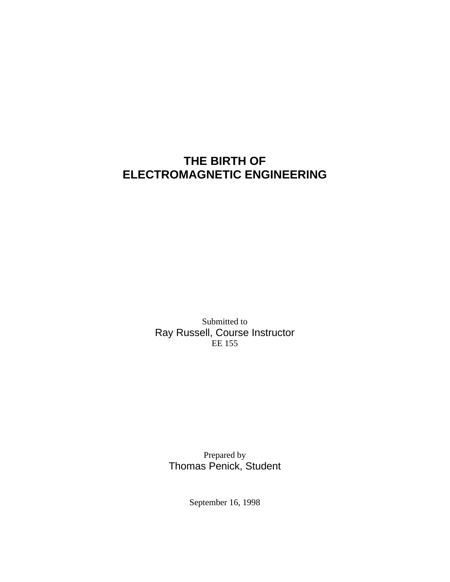# **THE BIRTH OF ELECTROMAGNETIC ENGINEERING**

Submitted to Ray Russell, Course Instructor EE 155

Prepared by Thomas Penick, Student

September 16, 1998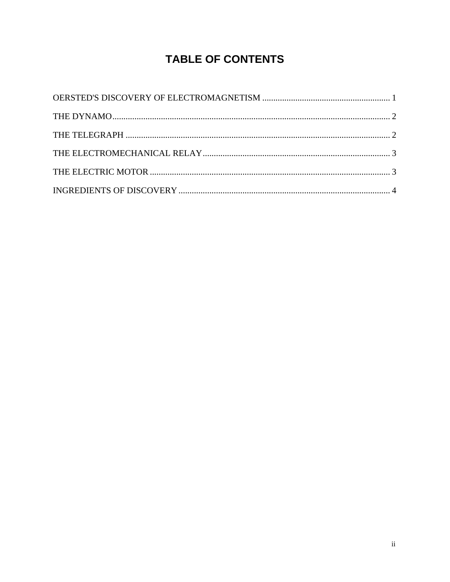# **TABLE OF CONTENTS**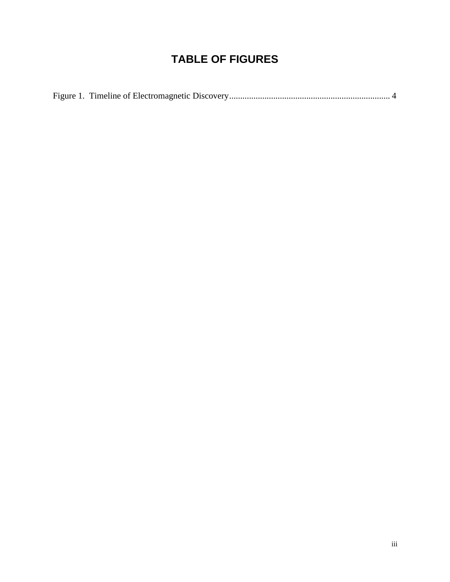# **TABLE OF FIGURES**

|--|--|--|--|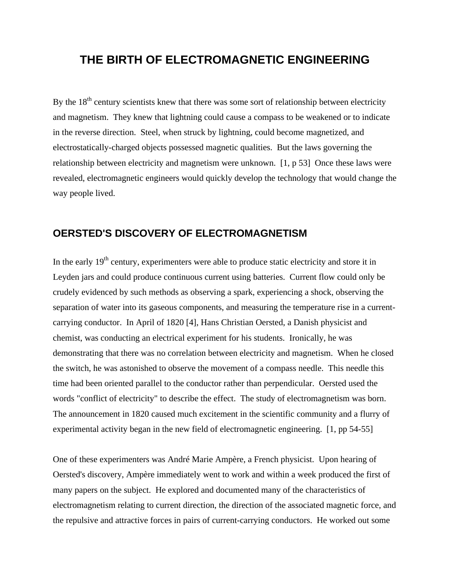## **THE BIRTH OF ELECTROMAGNETIC ENGINEERING**

By the  $18<sup>th</sup>$  century scientists knew that there was some sort of relationship between electricity and magnetism. They knew that lightning could cause a compass to be weakened or to indicate in the reverse direction. Steel, when struck by lightning, could become magnetized, and electrostatically-charged objects possessed magnetic qualities. But the laws governing the relationship between electricity and magnetism were unknown. [1, p 53] Once these laws were revealed, electromagnetic engineers would quickly develop the technology that would change the way people lived.

### **OERSTED'S DISCOVERY OF ELECTROMAGNETISM**

In the early  $19<sup>th</sup>$  century, experimenters were able to produce static electricity and store it in Leyden jars and could produce continuous current using batteries. Current flow could only be crudely evidenced by such methods as observing a spark, experiencing a shock, observing the separation of water into its gaseous components, and measuring the temperature rise in a currentcarrying conductor. In April of 1820 [4], Hans Christian Oersted, a Danish physicist and chemist, was conducting an electrical experiment for his students. Ironically, he was demonstrating that there was no correlation between electricity and magnetism. When he closed the switch, he was astonished to observe the movement of a compass needle. This needle this time had been oriented parallel to the conductor rather than perpendicular. Oersted used the words "conflict of electricity" to describe the effect. The study of electromagnetism was born. The announcement in 1820 caused much excitement in the scientific community and a flurry of experimental activity began in the new field of electromagnetic engineering. [1, pp 54-55]

One of these experimenters was André Marie Ampère, a French physicist. Upon hearing of Oersted's discovery, Ampère immediately went to work and within a week produced the first of many papers on the subject. He explored and documented many of the characteristics of electromagnetism relating to current direction, the direction of the associated magnetic force, and the repulsive and attractive forces in pairs of current-carrying conductors. He worked out some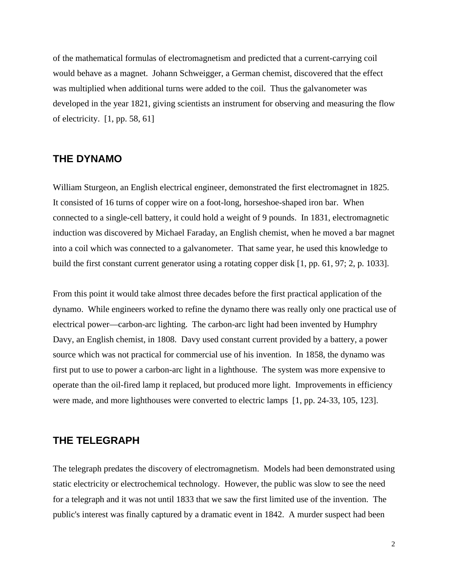of the mathematical formulas of electromagnetism and predicted that a current-carrying coil would behave as a magnet. Johann Schweigger, a German chemist, discovered that the effect was multiplied when additional turns were added to the coil. Thus the galvanometer was developed in the year 1821, giving scientists an instrument for observing and measuring the flow of electricity. [1, pp. 58, 61]

#### **THE DYNAMO**

William Sturgeon, an English electrical engineer, demonstrated the first electromagnet in 1825. It consisted of 16 turns of copper wire on a foot-long, horseshoe-shaped iron bar. When connected to a single-cell battery, it could hold a weight of 9 pounds. In 1831, electromagnetic induction was discovered by Michael Faraday, an English chemist, when he moved a bar magnet into a coil which was connected to a galvanometer. That same year, he used this knowledge to build the first constant current generator using a rotating copper disk [1, pp. 61, 97; 2, p. 1033].

From this point it would take almost three decades before the first practical application of the dynamo. While engineers worked to refine the dynamo there was really only one practical use of electrical power—carbon-arc lighting. The carbon-arc light had been invented by Humphry Davy, an English chemist, in 1808. Davy used constant current provided by a battery, a power source which was not practical for commercial use of his invention. In 1858, the dynamo was first put to use to power a carbon-arc light in a lighthouse. The system was more expensive to operate than the oil-fired lamp it replaced, but produced more light. Improvements in efficiency were made, and more lighthouses were converted to electric lamps [1, pp. 24-33, 105, 123].

#### **THE TELEGRAPH**

The telegraph predates the discovery of electromagnetism. Models had been demonstrated using static electricity or electrochemical technology. However, the public was slow to see the need for a telegraph and it was not until 1833 that we saw the first limited use of the invention. The public's interest was finally captured by a dramatic event in 1842. A murder suspect had been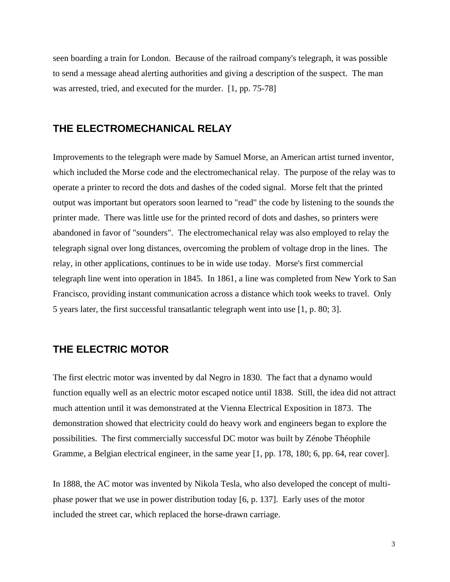seen boarding a train for London. Because of the railroad company's telegraph, it was possible to send a message ahead alerting authorities and giving a description of the suspect. The man was arrested, tried, and executed for the murder. [1, pp. 75-78]

#### **THE ELECTROMECHANICAL RELAY**

Improvements to the telegraph were made by Samuel Morse, an American artist turned inventor, which included the Morse code and the electromechanical relay. The purpose of the relay was to operate a printer to record the dots and dashes of the coded signal. Morse felt that the printed output was important but operators soon learned to "read" the code by listening to the sounds the printer made. There was little use for the printed record of dots and dashes, so printers were abandoned in favor of "sounders". The electromechanical relay was also employed to relay the telegraph signal over long distances, overcoming the problem of voltage drop in the lines. The relay, in other applications, continues to be in wide use today. Morse's first commercial telegraph line went into operation in 1845. In 1861, a line was completed from New York to San Francisco, providing instant communication across a distance which took weeks to travel. Only 5 years later, the first successful transatlantic telegraph went into use [1, p. 80; 3].

### **THE ELECTRIC MOTOR**

The first electric motor was invented by dal Negro in 1830. The fact that a dynamo would function equally well as an electric motor escaped notice until 1838. Still, the idea did not attract much attention until it was demonstrated at the Vienna Electrical Exposition in 1873. The demonstration showed that electricity could do heavy work and engineers began to explore the possibilities. The first commercially successful DC motor was built by Zénobe Théophile Gramme, a Belgian electrical engineer, in the same year [1, pp. 178, 180; 6, pp. 64, rear cover].

In 1888, the AC motor was invented by Nikola Tesla, who also developed the concept of multiphase power that we use in power distribution today [6, p. 137]. Early uses of the motor included the street car, which replaced the horse-drawn carriage.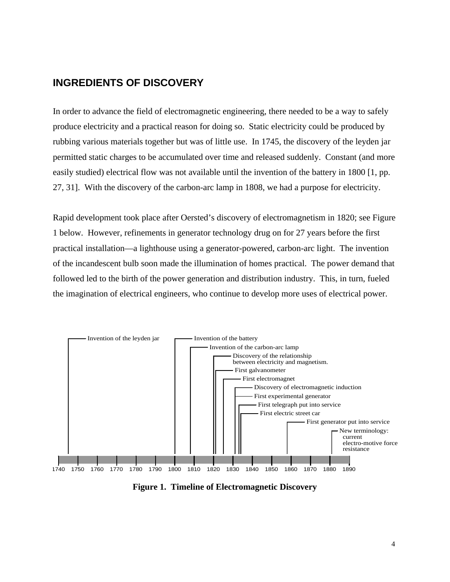### **INGREDIENTS OF DISCOVERY**

In order to advance the field of electromagnetic engineering, there needed to be a way to safely produce electricity and a practical reason for doing so. Static electricity could be produced by rubbing various materials together but was of little use. In 1745, the discovery of the leyden jar permitted static charges to be accumulated over time and released suddenly. Constant (and more easily studied) electrical flow was not available until the invention of the battery in 1800 [1, pp. 27, 31]. With the discovery of the carbon-arc lamp in 1808, we had a purpose for electricity.

Rapid development took place after Oersted's discovery of electromagnetism in 1820; see Figure 1 below. However, refinements in generator technology drug on for 27 years before the first practical installation—a lighthouse using a generator-powered, carbon-arc light. The invention of the incandescent bulb soon made the illumination of homes practical. The power demand that followed led to the birth of the power generation and distribution industry. This, in turn, fueled the imagination of electrical engineers, who continue to develop more uses of electrical power.



**Figure 1. Timeline of Electromagnetic Discovery**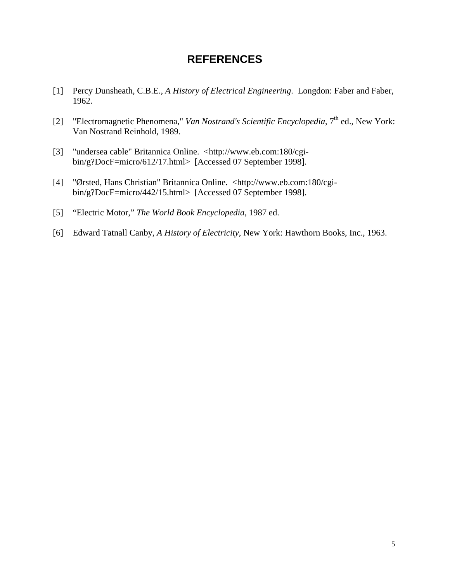## **REFERENCES**

- [1] Percy Dunsheath, C.B.E., *A History of Electrical Engineering*. Longdon: Faber and Faber, 1962.
- [2] "Electromagnetic Phenomena," *Van Nostrand's Scientific Encyclopedia*, 7<sup>th</sup> ed., New York: Van Nostrand Reinhold, 1989.
- [3] "undersea cable" Britannica Online. <http://www.eb.com:180/cgibin/g?DocF=micro/612/17.html> [Accessed 07 September 1998].
- [4] "Ørsted, Hans Christian" Britannica Online. <http://www.eb.com:180/cgibin/g?DocF=micro/442/15.html> [Accessed 07 September 1998].
- [5] "Electric Motor," *The World Book Encyclopedia*, 1987 ed.
- [6] Edward Tatnall Canby, *A History of Electricity*, New York: Hawthorn Books, Inc., 1963.